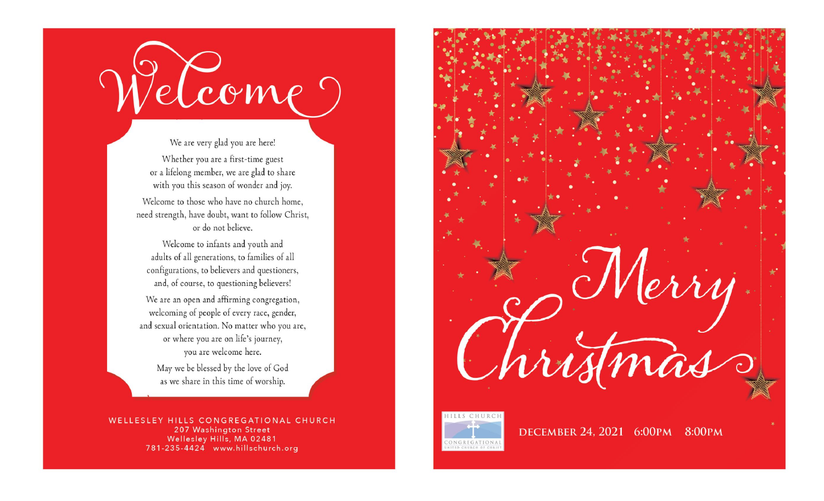

We are very glad you are here! Whether you are a first-time guest or a lifelong member, we are glad to share with you this season of wonder and joy. Welcome to those who have no church home. need strength, have doubt, want to follow Christ, or do not believe.

Welcome to infants and youth and adults of all generations, to families of all configurations, to believers and questioners, and, of course, to questioning believers!

We are an open and affirming congregation, welcoming of people of every race, gender, and sexual orientation. No matter who you are, or where you are on life's journey, you are welcome here.

> May we be blessed by the love of God as we share in this time of worship.

WELLESLEY HILLS CONGREGATIONAL CHURCH 207 Washington Street Wellesley Hills, MA 02481 781-235-4424 www.hillschurch.org





DECEMBER 24, 2021 6:00PM 8:00PM